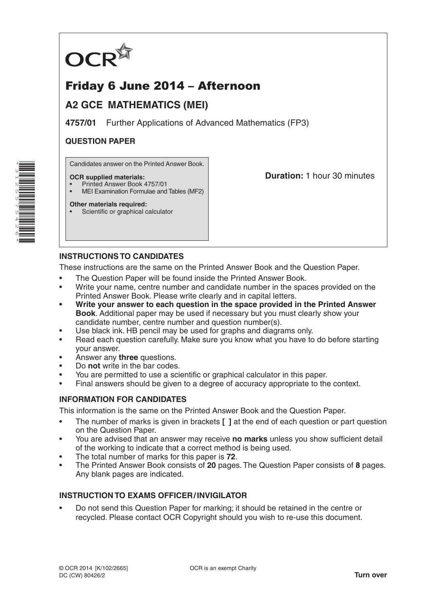

# Friday 6 June 2014 – Afternoon

# **A2 GCE MATHEMATICS (MEI)**

**4757/01** Further Applications of Advanced Mathematics (FP3)

# **QUESTION PAPER**

Candidates answer on the Printed Answer Book.

#### **OCR supplied materials:**

- Printed Answer Book 4757/01
- MEI Examination Formulae and Tables (MF2)

**Other materials required:** Scientific or graphical calculator **Duration:** 1 hour 30 minutes

# **INSTRUCTIONS TO CANDIDATES**

These instructions are the same on the Printed Answer Book and the Question Paper.

- The Question Paper will be found inside the Printed Answer Book.
- Write your name, centre number and candidate number in the spaces provided on the Printed Answer Book. Please write clearly and in capital letters.
- **• Write your answer to each question in the space provided in the Printed Answer Book**. Additional paper may be used if necessary but you must clearly show your candidate number, centre number and question number(s).
- Use black ink. HB pencil may be used for graphs and diagrams only.
- Read each question carefully. Make sure you know what you have to do before starting your answer.
- Answer any **three** questions.
- Do **not** write in the bar codes.
- You are permitted to use a scientific or graphical calculator in this paper.
- Final answers should be given to a degree of accuracy appropriate to the context.

# **INFORMATION FOR CANDIDATES**

This information is the same on the Printed Answer Book and the Question Paper.

- The number of marks is given in brackets **[ ]** at the end of each question or part question on the Question Paper.
- You are advised that an answer may receive **no marks** unless you show sufficient detail of the working to indicate that a correct method is being used.
- The total number of marks for this paper is **72**.
- The Printed Answer Book consists of **20** pages. The Question Paper consists of **8** pages. Any blank pages are indicated.

# **INSTRUCTION TO EXAMS OFFICER/INVIGILATOR**

• Do not send this Question Paper for marking; it should be retained in the centre or recycled. Please contact OCR Copyright should you wish to re-use this document.

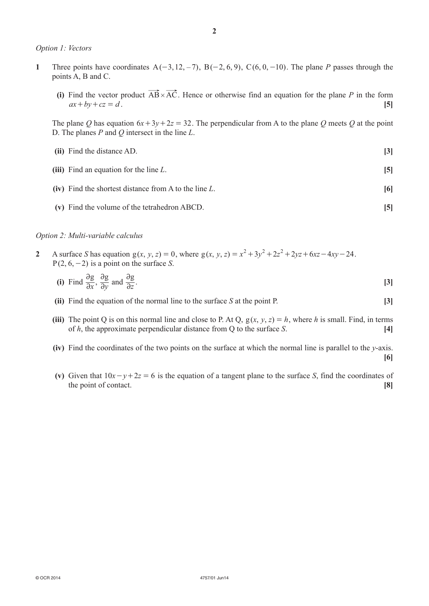- **1** Three points have coordinates  $A(-3, 12, -7)$ ,  $B(-2, 6, 9)$ ,  $C(6, 0, -10)$ . The plane *P* passes through the points A, B and C.
	- **(i)** Find the vector product  $\overrightarrow{AB} \times \overrightarrow{AC}$ . Hence or otherwise find an equation for the plane *P* in the form  $ax + by + cz = d$ . **[5]**

The plane *Q* has equation  $6x + 3y + 2z = 32$ . The perpendicular from A to the plane *Q* meets *Q* at the point D. The planes *P* and *Q* intersect in the line *L*.

| (ii) Find the distance AD.                               | $\left 3\right $ |
|----------------------------------------------------------|------------------|
| (iii) Find an equation for the line $L$ .                | $\vert 5 \vert$  |
| (iv) Find the shortest distance from A to the line $L$ . | [6]              |
| (v) Find the volume of the tetrahedron ABCD.             |                  |

#### *Option 2: Multi-variable calculus*

**2** A surface *S* has equation  $g(x, y, z) = 0$ , where  $g(x, y, z) = x^2 + 3y^2 + 2z^2 + 2yz + 6xz - 4xy - 24$ .  $P(2, 6, -2)$  is a point on the surface *S*.

(i) Find 
$$
\frac{\partial g}{\partial x}
$$
,  $\frac{\partial g}{\partial y}$  and  $\frac{\partial g}{\partial z}$ . [3]

- **(ii)** Find the equation of the normal line to the surface *S* at the point P. **[3]**
- **(iii)** The point Q is on this normal line and close to P. At Q,  $g(x, y, z) = h$ , where h is small. Find, in terms of *h*, the approximate perpendicular distance from Q to the surface *S*. **[4]**
- **(iv)**  Find the coordinates of the two points on the surface at which the normal line is parallel to the *y*-axis.

**[6]**

**(v)** Given that  $10x - y + 2z = 6$  is the equation of a tangent plane to the surface *S*, find the coordinates of the point of contact. **[8]**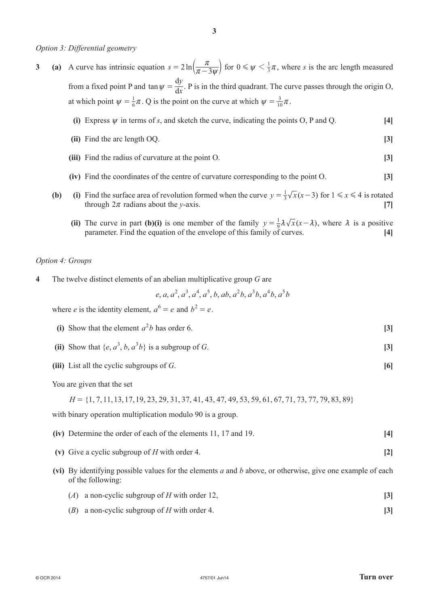*Option 3: Differential geometry*

- **3** (a) A curve has intrinsic equation  $s = 2 \ln \left( \frac{\pi}{\pi 3\psi} \right)$  for  $0 \le \psi \le \frac{1}{3}\pi$ , where *s* is the arc length measured from a fixed point P and  $\tan \psi = \frac{dy}{dx}$ *y* d  $\psi = \frac{dy}{dx}$ . P is in the third quadrant. The curve passes through the origin O, at which point  $\psi = \frac{1}{6}\pi$ . Q is the point on the curve at which  $\psi = \frac{3}{10}\pi$ .
	- **(i)** Express  $\psi$  in terms of *s*, and sketch the curve, indicating the points O, P and Q.  $\qquad \qquad \textbf{[4]}$
	- $\left| \begin{array}{c} \n\text{(ii)} \n\end{array} \right|$  **Find the arc length OQ. [3]**
	- *(iii)* Find the radius of curvature at the point O. [3]
	- **(iv)** Find the coordinates of the centre of curvature corresponding to the point O. **[3]**
- **(b)** (i) Find the surface area of revolution formed when the curve  $y = \frac{1}{3}\sqrt{x}(x-3)$  for  $1 \le x \le 4$  is rotated through  $2\pi$  radians about the *y*-axis. [7]
- **(ii)** The curve in part **(b)(i)** is one member of the family  $y = \frac{1}{9}\lambda\sqrt{x}(x \lambda)$ , where  $\lambda$  is a positive parameter. Find the equation of the envelope of this family of curves. **[4]**

#### *Option 4: Groups*

**4**  The twelve distinct elements of an abelian multiplicative group *G* are

$$
e, a, a2, a3, a4, a5, b, ab, a2b, a3b, a4b, a5b
$$

where *e* is the identity element,  $a^6 = e$  and  $b^2 = e$ .

- **(i)** Show that the element  $a^2b$  has order 6. **[3]**
- (ii) Show that  $\{e, a^3, b, a^3b\}$  is a subgroup of *G*.
- *(iii)* List all the cyclic subgroups of *G*. **[6]**

You are given that the set

$$
H = \{1, 7, 11, 13, 17, 19, 23, 29, 31, 37, 41, 43, 47, 49, 53, 59, 61, 67, 71, 73, 77, 79, 83, 89\}
$$

with binary operation multiplication modulo 90 is a group.

| (iv) Determine the order of each of the elements 11, 17 and 19. |  |
|-----------------------------------------------------------------|--|
|                                                                 |  |

- **(v)** Give a cyclic subgroup of *H* with order 4. **[2]**
- **(vi)** By identifying possible values for the elements *a* and *b* above, or otherwise, give one example of each of the following:
	- $(A)$  a non-cyclic subgroup of *H* with order 12, **[3]**
	- $(B)$  a non-cyclic subgroup of *H* with order 4. **[3]**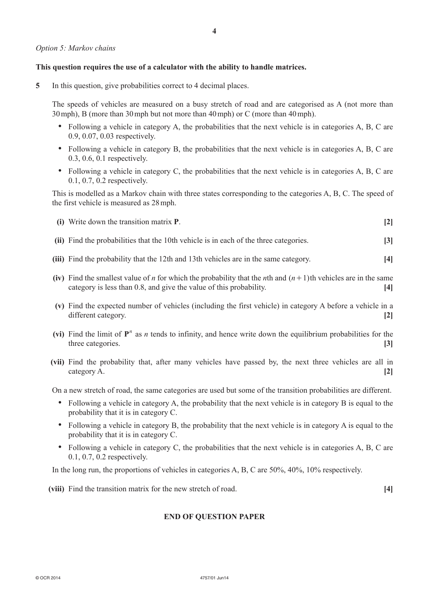#### *Option 5: Markov chains*

### **This question requires the use of a calculator with the ability to handle matrices.**

**5** In this question, give probabilities correct to 4 decimal places.

The speeds of vehicles are measured on a busy stretch of road and are categorised as A (not more than 30mph), B (more than 30mph but not more than 40mph) or C (more than 40mph).

- Following a vehicle in category A, the probabilities that the next vehicle is in categories A, B, C are 0.9, 0.07, 0.03 respectively.
- Following a vehicle in category B, the probabilities that the next vehicle is in categories A, B, C are 0.3, 0.6, 0.1 respectively.
- Following a vehicle in category C, the probabilities that the next vehicle is in categories A, B, C are 0.1, 0.7, 0.2 respectively.

This is modelled as a Markov chain with three states corresponding to the categories A, B, C. The speed of the first vehicle is measured as 28mph.

| (i) Write down the transition matrix <b>P</b> . |  |
|-------------------------------------------------|--|
|-------------------------------------------------|--|

- **(ii)** Find the probabilities that the 10th vehicle is in each of the three categories. **[3]**
- **(iii)** Find the probability that the 12th and 13th vehicles are in the same category. [4]
- **(iv)** Find the smallest value of *n* for which the probability that the *n*th and  $(n + 1)$ th vehicles are in the same category is less than 0.8, and give the value of this probability. **[4]**
- **(v)**  Find the expected number of vehicles (including the first vehicle) in category A before a vehicle in a different category. **[2]**
- **(vi)** Find the limit of  $P^n$  as *n* tends to infinity, and hence write down the equilibrium probabilities for the three categories. **[3]**
	- **(vii)** Find the probability that, after many vehicles have passed by, the next three vehicles are all in category A. **[2]**

On a new stretch of road, the same categories are used but some of the transition probabilities are different.

- Following a vehicle in category A, the probability that the next vehicle is in category B is equal to the probability that it is in category C.
- Following a vehicle in category B, the probability that the next vehicle is in category A is equal to the probability that it is in category C.
- Following a vehicle in category C, the probabilities that the next vehicle is in categories A, B, C are 0.1, 0.7, 0.2 respectively.

In the long run, the proportions of vehicles in categories A, B, C are 50%, 40%, 10% respectively.

**(viii)** Find the transition matrix for the new stretch of road. **[4]** 

#### **END OF QUESTION PAPER**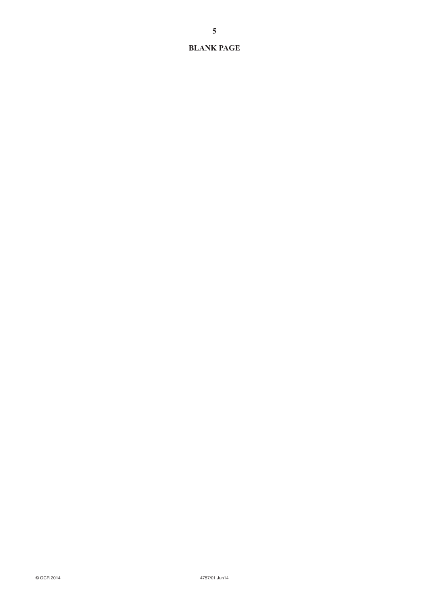# **BLANK PAGE**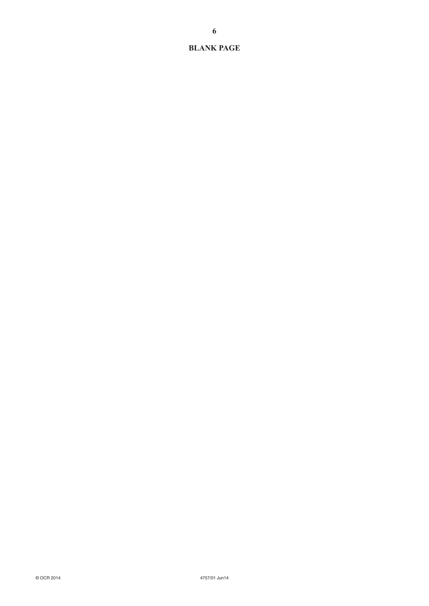# **BLANK PAGE**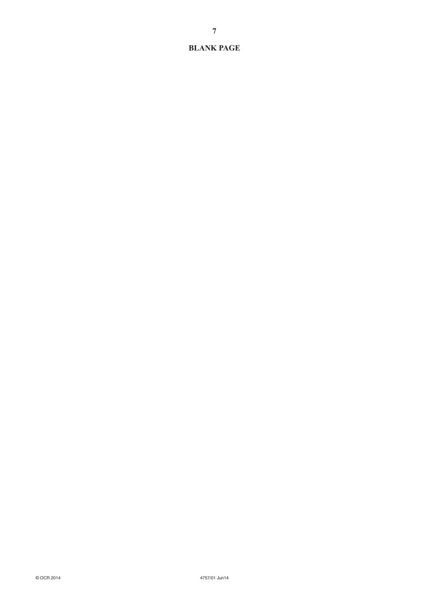# **BLANK PAGE**